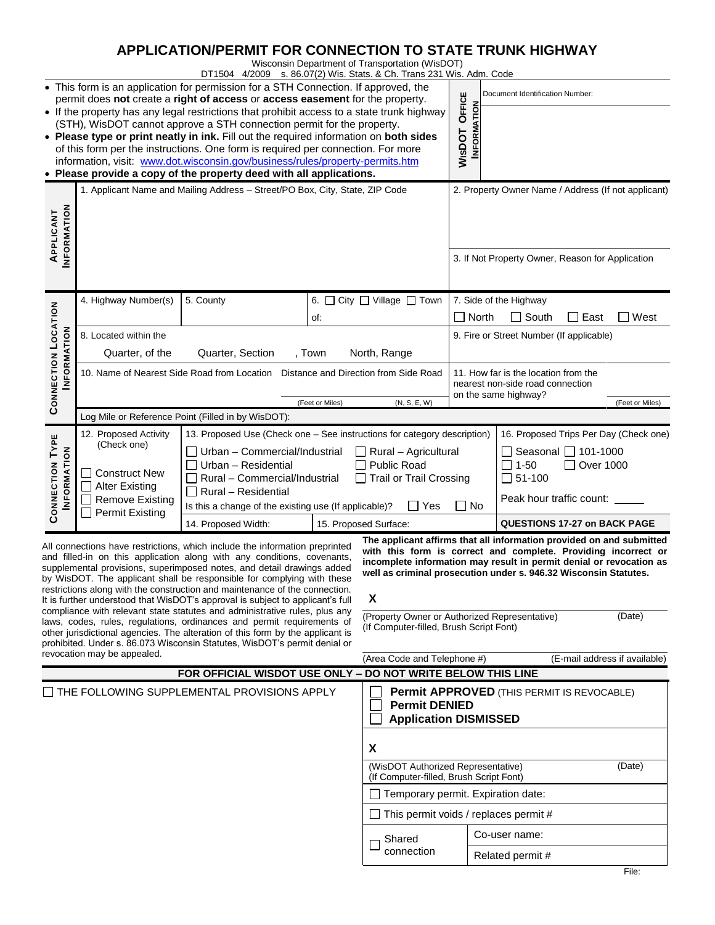# **APPLICATION/PERMIT FOR CONNECTION TO STATE TRUNK HIGHWAY**

Wisconsin Department of Transportation (WisDOT)

| DT1504 4/2009 s. 86.07(2) Wis. Stats. & Ch. Trans 231 Wis. Adm. Code                                                                                                                                                                                                                                                                                                                                                                                                                                                                                                                            |                                                                                                                                                     |                                                                                                                                                                      |                                                      |                                                                                         |                                                                                                  |                                                     |  |
|-------------------------------------------------------------------------------------------------------------------------------------------------------------------------------------------------------------------------------------------------------------------------------------------------------------------------------------------------------------------------------------------------------------------------------------------------------------------------------------------------------------------------------------------------------------------------------------------------|-----------------------------------------------------------------------------------------------------------------------------------------------------|----------------------------------------------------------------------------------------------------------------------------------------------------------------------|------------------------------------------------------|-----------------------------------------------------------------------------------------|--------------------------------------------------------------------------------------------------|-----------------------------------------------------|--|
|                                                                                                                                                                                                                                                                                                                                                                                                                                                                                                                                                                                                 |                                                                                                                                                     | • This form is an application for permission for a STH Connection. If approved, the<br>permit does not create a right of access or access easement for the property. |                                                      |                                                                                         | Document Identification Number:                                                                  |                                                     |  |
|                                                                                                                                                                                                                                                                                                                                                                                                                                                                                                                                                                                                 |                                                                                                                                                     | • If the property has any legal restrictions that prohibit access to a state trunk highway                                                                           |                                                      | OFFICE<br><b>INFORMATION</b>                                                            |                                                                                                  |                                                     |  |
|                                                                                                                                                                                                                                                                                                                                                                                                                                                                                                                                                                                                 |                                                                                                                                                     | (STH), WisDOT cannot approve a STH connection permit for the property.<br>• Please type or print neatly in ink. Fill out the required information on both sides      |                                                      |                                                                                         |                                                                                                  |                                                     |  |
| <b>WISDOT</b><br>of this form per the instructions. One form is required per connection. For more                                                                                                                                                                                                                                                                                                                                                                                                                                                                                               |                                                                                                                                                     |                                                                                                                                                                      |                                                      |                                                                                         |                                                                                                  |                                                     |  |
|                                                                                                                                                                                                                                                                                                                                                                                                                                                                                                                                                                                                 |                                                                                                                                                     | information, visit: www.dot.wisconsin.gov/business/rules/property-permits.htm                                                                                        |                                                      |                                                                                         |                                                                                                  |                                                     |  |
|                                                                                                                                                                                                                                                                                                                                                                                                                                                                                                                                                                                                 | • Please provide a copy of the property deed with all applications.<br>1. Applicant Name and Mailing Address - Street/PO Box, City, State, ZIP Code |                                                                                                                                                                      |                                                      |                                                                                         |                                                                                                  | 2. Property Owner Name / Address (If not applicant) |  |
|                                                                                                                                                                                                                                                                                                                                                                                                                                                                                                                                                                                                 |                                                                                                                                                     |                                                                                                                                                                      |                                                      |                                                                                         |                                                                                                  |                                                     |  |
|                                                                                                                                                                                                                                                                                                                                                                                                                                                                                                                                                                                                 |                                                                                                                                                     |                                                                                                                                                                      |                                                      |                                                                                         |                                                                                                  |                                                     |  |
| <b>INFORMATION</b><br>APPLICANT                                                                                                                                                                                                                                                                                                                                                                                                                                                                                                                                                                 |                                                                                                                                                     |                                                                                                                                                                      |                                                      |                                                                                         |                                                                                                  |                                                     |  |
|                                                                                                                                                                                                                                                                                                                                                                                                                                                                                                                                                                                                 |                                                                                                                                                     |                                                                                                                                                                      |                                                      |                                                                                         |                                                                                                  | 3. If Not Property Owner, Reason for Application    |  |
|                                                                                                                                                                                                                                                                                                                                                                                                                                                                                                                                                                                                 |                                                                                                                                                     |                                                                                                                                                                      |                                                      |                                                                                         |                                                                                                  |                                                     |  |
|                                                                                                                                                                                                                                                                                                                                                                                                                                                                                                                                                                                                 | 4. Highway Number(s)                                                                                                                                | 5. County                                                                                                                                                            |                                                      | 6. O City O Village O Town                                                              |                                                                                                  | 7. Side of the Highway                              |  |
| <b>CONNECTION LOCATION</b><br><b>INFORMATION</b>                                                                                                                                                                                                                                                                                                                                                                                                                                                                                                                                                |                                                                                                                                                     |                                                                                                                                                                      | of:                                                  | North<br>$\blacksquare$                                                                 |                                                                                                  | $\Box$ South<br>$\Box$ East<br>$\Box$ West          |  |
|                                                                                                                                                                                                                                                                                                                                                                                                                                                                                                                                                                                                 | 8. Located within the                                                                                                                               |                                                                                                                                                                      |                                                      |                                                                                         |                                                                                                  | 9. Fire or Street Number (If applicable)            |  |
|                                                                                                                                                                                                                                                                                                                                                                                                                                                                                                                                                                                                 | Quarter, of the<br>Quarter, Section<br>, Town                                                                                                       |                                                                                                                                                                      |                                                      | North, Range                                                                            |                                                                                                  |                                                     |  |
|                                                                                                                                                                                                                                                                                                                                                                                                                                                                                                                                                                                                 | 10. Name of Nearest Side Road from Location  Distance and Direction from Side Road                                                                  |                                                                                                                                                                      |                                                      |                                                                                         | 11. How far is the location from the<br>nearest non-side road connection<br>on the same highway? |                                                     |  |
|                                                                                                                                                                                                                                                                                                                                                                                                                                                                                                                                                                                                 |                                                                                                                                                     |                                                                                                                                                                      |                                                      |                                                                                         |                                                                                                  |                                                     |  |
|                                                                                                                                                                                                                                                                                                                                                                                                                                                                                                                                                                                                 | (N, S, E, W)<br>(Feet or Miles)<br>Log Mile or Reference Point (Filled in by WisDOT):                                                               |                                                                                                                                                                      |                                                      |                                                                                         |                                                                                                  | (Feet or Miles)                                     |  |
|                                                                                                                                                                                                                                                                                                                                                                                                                                                                                                                                                                                                 | 12. Proposed Activity<br>13. Proposed Use (Check one - See instructions for category description)                                                   |                                                                                                                                                                      |                                                      |                                                                                         |                                                                                                  | 16. Proposed Trips Per Day (Check one)              |  |
|                                                                                                                                                                                                                                                                                                                                                                                                                                                                                                                                                                                                 | (Check one)                                                                                                                                         | Urban - Commercial/Industrial<br>Rural - Agricultural                                                                                                                |                                                      |                                                                                         | Seasonal 101-1000<br>$1 - 50$<br>□ Over 1000<br>51-100                                           |                                                     |  |
|                                                                                                                                                                                                                                                                                                                                                                                                                                                                                                                                                                                                 | <b>Construct New</b>                                                                                                                                | Urban - Residential<br>Public Road<br>Rural - Commercial/Industrial<br><b>Trail or Trail Crossing</b><br>Rural - Residential                                         |                                                      |                                                                                         |                                                                                                  |                                                     |  |
| CONNECTION TYPE<br><b>INFORMATION</b>                                                                                                                                                                                                                                                                                                                                                                                                                                                                                                                                                           | <b>Alter Existing</b>                                                                                                                               |                                                                                                                                                                      |                                                      |                                                                                         |                                                                                                  |                                                     |  |
|                                                                                                                                                                                                                                                                                                                                                                                                                                                                                                                                                                                                 | <b>Remove Existing</b>                                                                                                                              | Yes<br>Is this a change of the existing use (If applicable)?                                                                                                         |                                                      |                                                                                         | No                                                                                               | Peak hour traffic count:                            |  |
|                                                                                                                                                                                                                                                                                                                                                                                                                                                                                                                                                                                                 | <b>Permit Existing</b>                                                                                                                              | 14. Proposed Width:<br>15. Proposed Surface:                                                                                                                         |                                                      |                                                                                         | <b>QUESTIONS 17-27 on BACK PAGE</b>                                                              |                                                     |  |
| The applicant affirms that all information provided on and submitted<br>All connections have restrictions, which include the information preprinted<br>with this form is correct and complete. Providing incorrect or<br>and filled-in on this application along with any conditions, covenants,<br>incomplete information may result in permit denial or revocation as<br>supplemental provisions, superimposed notes, and detail drawings added<br>well as criminal prosecution under s. 946.32 Wisconsin Statutes.<br>by WisDOT. The applicant shall be responsible for complying with these |                                                                                                                                                     |                                                                                                                                                                      |                                                      |                                                                                         |                                                                                                  |                                                     |  |
| restrictions along with the construction and maintenance of the connection.<br>X                                                                                                                                                                                                                                                                                                                                                                                                                                                                                                                |                                                                                                                                                     |                                                                                                                                                                      |                                                      |                                                                                         |                                                                                                  |                                                     |  |
| It is further understood that WisDOT's approval is subject to applicant's full<br>compliance with relevant state statutes and administrative rules, plus any<br>(Property Owner or Authorized Representative)<br>(Date)                                                                                                                                                                                                                                                                                                                                                                         |                                                                                                                                                     |                                                                                                                                                                      |                                                      |                                                                                         |                                                                                                  |                                                     |  |
| laws, codes, rules, regulations, ordinances and permit requirements of<br>(If Computer-filled, Brush Script Font)<br>other jurisdictional agencies. The alteration of this form by the applicant is                                                                                                                                                                                                                                                                                                                                                                                             |                                                                                                                                                     |                                                                                                                                                                      |                                                      |                                                                                         |                                                                                                  |                                                     |  |
| prohibited. Under s. 86.073 Wisconsin Statutes, WisDOT's permit denial or<br>revocation may be appealed.                                                                                                                                                                                                                                                                                                                                                                                                                                                                                        |                                                                                                                                                     |                                                                                                                                                                      |                                                      |                                                                                         |                                                                                                  |                                                     |  |
|                                                                                                                                                                                                                                                                                                                                                                                                                                                                                                                                                                                                 |                                                                                                                                                     | FOR OFFICIAL WISDOT USE ONLY - DO NOT WRITE BELOW THIS LINE                                                                                                          |                                                      | (Area Code and Telephone #)                                                             |                                                                                                  | (E-mail address if available)                       |  |
|                                                                                                                                                                                                                                                                                                                                                                                                                                                                                                                                                                                                 |                                                                                                                                                     |                                                                                                                                                                      |                                                      |                                                                                         |                                                                                                  | <b>Permit APPROVED (THIS PERMIT IS REVOCABLE)</b>   |  |
| $\Box$ THE FOLLOWING SUPPLEMENTAL PROVISIONS APPLY                                                                                                                                                                                                                                                                                                                                                                                                                                                                                                                                              |                                                                                                                                                     |                                                                                                                                                                      |                                                      | <b>Permit DENIED</b><br><b>Application DISMISSED</b>                                    |                                                                                                  |                                                     |  |
|                                                                                                                                                                                                                                                                                                                                                                                                                                                                                                                                                                                                 |                                                                                                                                                     |                                                                                                                                                                      | X                                                    |                                                                                         |                                                                                                  |                                                     |  |
|                                                                                                                                                                                                                                                                                                                                                                                                                                                                                                                                                                                                 |                                                                                                                                                     |                                                                                                                                                                      |                                                      | (WisDOT Authorized Representative)<br>(Date)<br>(If Computer-filled, Brush Script Font) |                                                                                                  |                                                     |  |
|                                                                                                                                                                                                                                                                                                                                                                                                                                                                                                                                                                                                 |                                                                                                                                                     |                                                                                                                                                                      | Temporary permit. Expiration date:<br>$\blacksquare$ |                                                                                         |                                                                                                  |                                                     |  |
|                                                                                                                                                                                                                                                                                                                                                                                                                                                                                                                                                                                                 |                                                                                                                                                     |                                                                                                                                                                      |                                                      | This permit voids / replaces permit #                                                   |                                                                                                  |                                                     |  |
|                                                                                                                                                                                                                                                                                                                                                                                                                                                                                                                                                                                                 |                                                                                                                                                     |                                                                                                                                                                      |                                                      | Shared<br>connection                                                                    |                                                                                                  | Co-user name:                                       |  |
|                                                                                                                                                                                                                                                                                                                                                                                                                                                                                                                                                                                                 |                                                                                                                                                     |                                                                                                                                                                      |                                                      |                                                                                         |                                                                                                  | Related permit #                                    |  |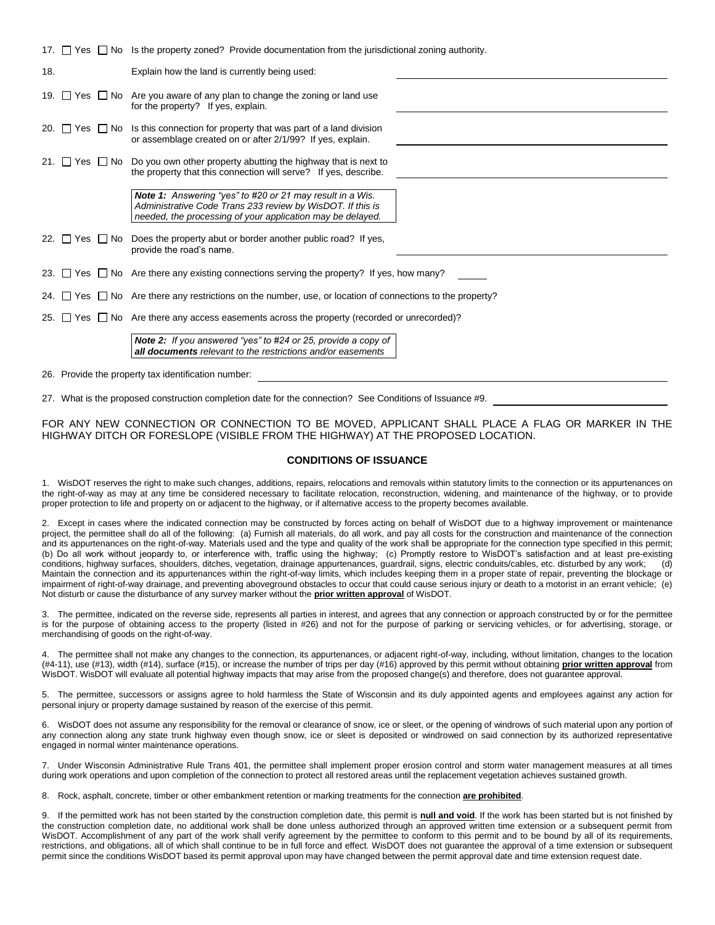|     | 17. $\Box$ Yes $\Box$ No Is the property zoned? Provide documentation from the jurisdictional zoning authority.                                                                              |  |  |  |
|-----|----------------------------------------------------------------------------------------------------------------------------------------------------------------------------------------------|--|--|--|
| 18. | Explain how the land is currently being used:                                                                                                                                                |  |  |  |
|     | 19. $\Box$ Yes $\Box$ No Are you aware of any plan to change the zoning or land use<br>for the property? If yes, explain.                                                                    |  |  |  |
|     | 20. $\Box$ Yes $\Box$ No Is this connection for property that was part of a land division<br>or assemblage created on or after 2/1/99? If yes, explain.                                      |  |  |  |
|     | 21. $\Box$ Yes $\Box$ No Do you own other property abutting the highway that is next to<br>the property that this connection will serve? If yes, describe.                                   |  |  |  |
|     | <b>Note 1:</b> Answering "yes" to #20 or 21 may result in a Wis.<br>Administrative Code Trans 233 review by WisDOT. If this is<br>needed, the processing of your application may be delayed. |  |  |  |
| 22. | $\Box$ Yes $\Box$ No Does the property abut or border another public road? If yes,<br>provide the road's name.                                                                               |  |  |  |
|     | 23. $\Box$ Yes $\Box$ No Are there any existing connections serving the property? If yes, how many?                                                                                          |  |  |  |
|     | 24. $\Box$ Yes $\Box$ No Are there any restrictions on the number, use, or location of connections to the property?                                                                          |  |  |  |
|     | 25. $\Box$ Yes $\Box$ No Are there any access easements across the property (recorded or unrecorded)?                                                                                        |  |  |  |
|     | <b>Note 2:</b> If you answered "yes" to #24 or 25, provide a copy of<br><b>all documents</b> relevant to the restrictions and/or easements                                                   |  |  |  |

26. Provide the property tax identification number:

27. What is the proposed construction completion date for the connection? See Conditions of Issuance #9.

FOR ANY NEW CONNECTION OR CONNECTION TO BE MOVED, APPLICANT SHALL PLACE A FLAG OR MARKER IN THE HIGHWAY DITCH OR FORESLOPE (VISIBLE FROM THE HIGHWAY) AT THE PROPOSED LOCATION.

#### **CONDITIONS OF ISSUANCE**

1. WisDOT reserves the right to make such changes, additions, repairs, relocations and removals within statutory limits to the connection or its appurtenances on the right-of-way as may at any time be considered necessary to facilitate relocation, reconstruction, widening, and maintenance of the highway, or to provide proper protection to life and property on or adjacent to the highway, or if alternative access to the property becomes available.

2. Except in cases where the indicated connection may be constructed by forces acting on behalf of WisDOT due to a highway improvement or maintenance project, the permittee shall do all of the following: (a) Furnish all materials, do all work, and pay all costs for the construction and maintenance of the connection and its appurtenances on the right-of-way. Materials used and the type and quality of the work shall be appropriate for the connection type specified in this permit; (b) Do all work without jeopardy to, or interference with, traffic using the highway; (c) Promptly restore to WisDOT's satisfaction and at least pre-existing conditions, highway surfaces, shoulders, ditches, vegetation, drainage appurtenances, guardrail, signs, electric conduits/cables, etc. disturbed by any work; (d) Maintain the connection and its appurtenances within the right-of-way limits, which includes keeping them in a proper state of repair, preventing the blockage or impairment of right-of-way drainage, and preventing aboveground obstacles to occur that could cause serious injury or death to a motorist in an errant vehicle; (e) Not disturb or cause the disturbance of any survey marker without the **prior written approval** of WisDOT.

3. The permittee, indicated on the reverse side, represents all parties in interest, and agrees that any connection or approach constructed by or for the permittee is for the purpose of obtaining access to the property (listed in #26) and not for the purpose of parking or servicing vehicles, or for advertising, storage, or merchandising of goods on the right-of-way.

4. The permittee shall not make any changes to the connection, its appurtenances, or adjacent right-of-way, including, without limitation, changes to the location (#4-11), use (#13), width (#14), surface (#15), or increase the number of trips per day (#16) approved by this permit without obtaining **prior written approval** from WisDOT. WisDOT will evaluate all potential highway impacts that may arise from the proposed change(s) and therefore, does not guarantee approval.

5. The permittee, successors or assigns agree to hold harmless the State of Wisconsin and its duly appointed agents and employees against any action for personal injury or property damage sustained by reason of the exercise of this permit.

6. WisDOT does not assume any responsibility for the removal or clearance of snow, ice or sleet, or the opening of windrows of such material upon any portion of any connection along any state trunk highway even though snow, ice or sleet is deposited or windrowed on said connection by its authorized representative engaged in normal winter maintenance operations.

7. Under Wisconsin Administrative Rule Trans 401, the permittee shall implement proper erosion control and storm water management measures at all times during work operations and upon completion of the connection to protect all restored areas until the replacement vegetation achieves sustained growth.

8. Rock, asphalt, concrete, timber or other embankment retention or marking treatments for the connection **are prohibited**.

9. If the permitted work has not been started by the construction completion date, this permit is **null and void**. If the work has been started but is not finished by the construction completion date, no additional work shall be done unless authorized through an approved written time extension or a subsequent permit from WisDOT. Accomplishment of any part of the work shall verify agreement by the permittee to conform to this permit and to be bound by all of its requirements, restrictions, and obligations, all of which shall continue to be in full force and effect. WisDOT does not guarantee the approval of a time extension or subsequent permit since the conditions WisDOT based its permit approval upon may have changed between the permit approval date and time extension request date.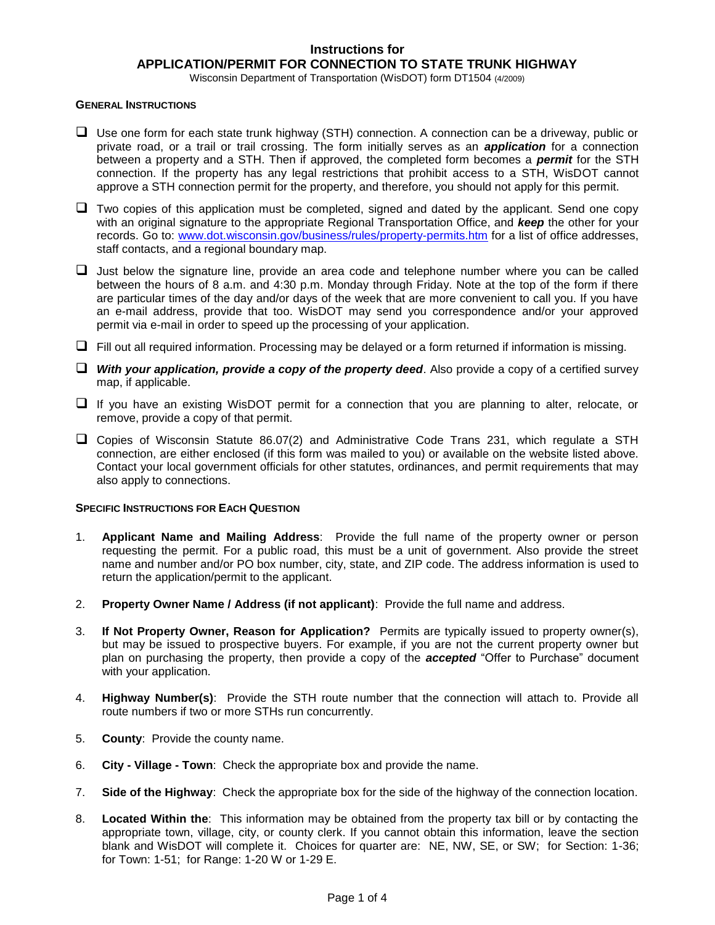### **Instructions for APPLICATION/PERMIT FOR CONNECTION TO STATE TRUNK HIGHWAY**

Wisconsin Department of Transportation (WisDOT) form DT1504 (4/2009)

#### **GENERAL INSTRUCTIONS**

- ❑ Use one form for each state trunk highway (STH) connection. A connection can be a driveway, public or private road, or a trail or trail crossing. The form initially serves as an *application* for a connection between a property and a STH. Then if approved, the completed form becomes a *permit* for the STH connection. If the property has any legal restrictions that prohibit access to a STH, WisDOT cannot approve a STH connection permit for the property, and therefore, you should not apply for this permit.
- $\Box$  Two copies of this application must be completed, signed and dated by the applicant. Send one copy with an original signature to the appropriate Regional Transportation Office, and *keep* the other for your records. Go to: [www.dot.wisconsin.gov/business/rules/property-permits.htm](http://www.dot.wisconsin.gov/business/rules/property-permits.htm) for a list of office addresses, staff contacts, and a regional boundary map.
- ❑ Just below the signature line, provide an area code and telephone number where you can be called between the hours of 8 a.m. and 4:30 p.m. Monday through Friday. Note at the top of the form if there are particular times of the day and/or days of the week that are more convenient to call you. If you have an e-mail address, provide that too. WisDOT may send you correspondence and/or your approved permit via e-mail in order to speed up the processing of your application.
- ❑ Fill out all required information. Processing may be delayed or a form returned if information is missing.
- ❑ *With your application, provide a copy of the property deed*. Also provide a copy of a certified survey map, if applicable.
- ❑ If you have an existing WisDOT permit for a connection that you are planning to alter, relocate, or remove, provide a copy of that permit.
- ❑ Copies of Wisconsin Statute 86.07(2) and Administrative Code Trans 231, which regulate a STH connection, are either enclosed (if this form was mailed to you) or available on the website listed above. Contact your local government officials for other statutes, ordinances, and permit requirements that may also apply to connections.

### **SPECIFIC INSTRUCTIONS FOR EACH QUESTION**

- 1. **Applicant Name and Mailing Address**: Provide the full name of the property owner or person requesting the permit. For a public road, this must be a unit of government. Also provide the street name and number and/or PO box number, city, state, and ZIP code. The address information is used to return the application/permit to the applicant.
- 2. **Property Owner Name / Address (if not applicant)**: Provide the full name and address.
- 3. **If Not Property Owner, Reason for Application?** Permits are typically issued to property owner(s), but may be issued to prospective buyers. For example, if you are not the current property owner but plan on purchasing the property, then provide a copy of the *accepted* "Offer to Purchase" document with your application.
- 4. **Highway Number(s)**: Provide the STH route number that the connection will attach to. Provide all route numbers if two or more STHs run concurrently.
- 5. **County**: Provide the county name.
- 6. **City - Village - Town**: Check the appropriate box and provide the name.
- 7. **Side of the Highway**: Check the appropriate box for the side of the highway of the connection location.
- 8. **Located Within the**: This information may be obtained from the property tax bill or by contacting the appropriate town, village, city, or county clerk. If you cannot obtain this information, leave the section blank and WisDOT will complete it. Choices for quarter are: NE, NW, SE, or SW; for Section: 1-36; for Town: 1-51; for Range: 1-20 W or 1-29 E.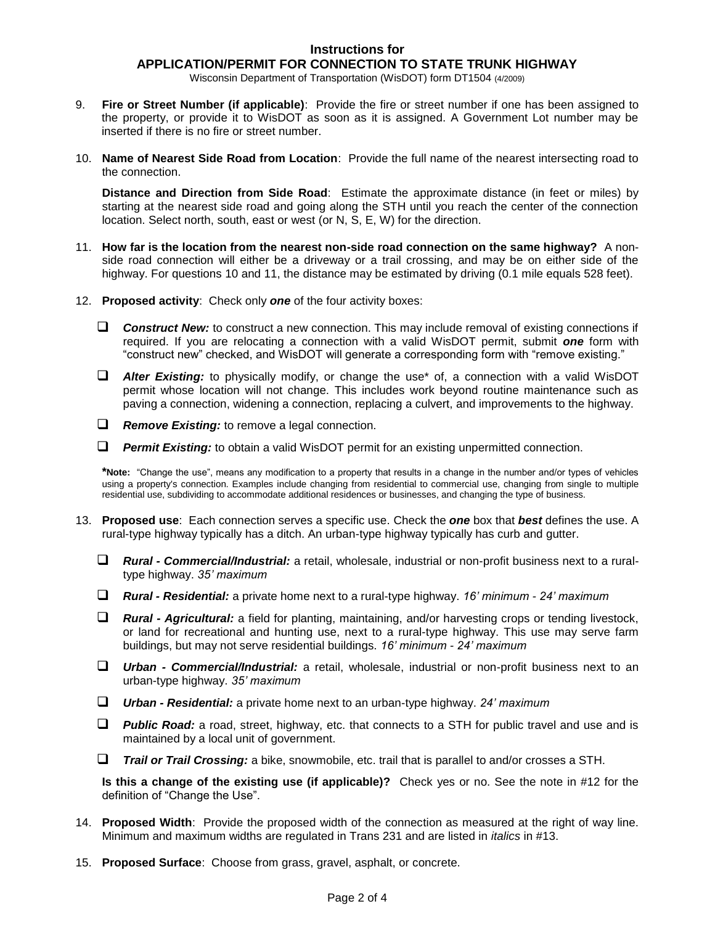### **Instructions for APPLICATION/PERMIT FOR CONNECTION TO STATE TRUNK HIGHWAY**

Wisconsin Department of Transportation (WisDOT) form DT1504 (4/2009)

- 9. **Fire or Street Number (if applicable)**: Provide the fire or street number if one has been assigned to the property, or provide it to WisDOT as soon as it is assigned. A Government Lot number may be inserted if there is no fire or street number.
- 10. **Name of Nearest Side Road from Location**: Provide the full name of the nearest intersecting road to the connection.

**Distance and Direction from Side Road**: Estimate the approximate distance (in feet or miles) by starting at the nearest side road and going along the STH until you reach the center of the connection location. Select north, south, east or west (or N, S, E, W) for the direction.

- 11. **How far is the location from the nearest non-side road connection on the same highway?** A nonside road connection will either be a driveway or a trail crossing, and may be on either side of the highway. For questions 10 and 11, the distance may be estimated by driving (0.1 mile equals 528 feet).
- 12. **Proposed activity**: Check only *one* of the four activity boxes:
	- ❑ *Construct New:* to construct a new connection. This may include removal of existing connections if required. If you are relocating a connection with a valid WisDOT permit, submit *one* form with "construct new" checked, and WisDOT will generate a corresponding form with "remove existing."
	- ❑ *Alter Existing:* to physically modify, or change the use\* of, a connection with a valid WisDOT permit whose location will not change. This includes work beyond routine maintenance such as paving a connection, widening a connection, replacing a culvert, and improvements to the highway.
	- ❑ *Remove Existing:* to remove a legal connection.
	- ❑ *Permit Existing:* to obtain a valid WisDOT permit for an existing unpermitted connection.

**\*Note:** "Change the use", means any modification to a property that results in a change in the number and/or types of vehicles using a property's connection. Examples include changing from residential to commercial use, changing from single to multiple residential use, subdividing to accommodate additional residences or businesses, and changing the type of business.

- 13. **Proposed use**: Each connection serves a specific use. Check the *one* box that *best* defines the use. A rural-type highway typically has a ditch. An urban-type highway typically has curb and gutter.
	- ❑ *Rural - Commercial/Industrial:* a retail, wholesale, industrial or non-profit business next to a ruraltype highway. *35' maximum*
	- ❑ *Rural - Residential:* a private home next to a rural-type highway. *16' minimum - 24' maximum*
	- ❑ *Rural - Agricultural:* a field for planting, maintaining, and/or harvesting crops or tending livestock, or land for recreational and hunting use, next to a rural-type highway. This use may serve farm buildings, but may not serve residential buildings. *16' minimum - 24' maximum*
	- ❑ *Urban - Commercial/Industrial:* a retail, wholesale, industrial or non-profit business next to an urban-type highway. *35' maximum*
	- ❑ *Urban - Residential:* a private home next to an urban-type highway. *24' maximum*
	- ❑ *Public Road:* a road, street, highway, etc. that connects to a STH for public travel and use and is maintained by a local unit of government.
	- ❑ *Trail or Trail Crossing:* a bike, snowmobile, etc. trail that is parallel to and/or crosses a STH.

**Is this a change of the existing use (if applicable)?** Check yes or no. See the note in #12 for the definition of "Change the Use".

- 14. **Proposed Width**: Provide the proposed width of the connection as measured at the right of way line. Minimum and maximum widths are regulated in Trans 231 and are listed in *italics* in #13.
- 15. **Proposed Surface**: Choose from grass, gravel, asphalt, or concrete.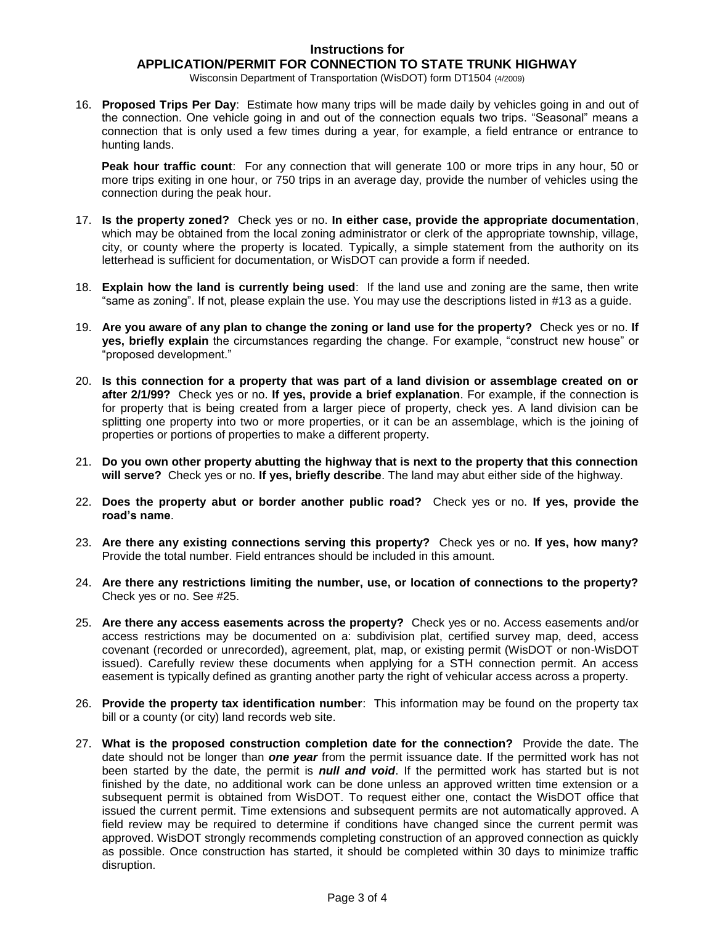#### **Instructions for APPLICATION/PERMIT FOR CONNECTION TO STATE TRUNK HIGHWAY**

Wisconsin Department of Transportation (WisDOT) form DT1504 (4/2009)

16. **Proposed Trips Per Day**: Estimate how many trips will be made daily by vehicles going in and out of the connection. One vehicle going in and out of the connection equals two trips. "Seasonal" means a connection that is only used a few times during a year, for example, a field entrance or entrance to hunting lands.

**Peak hour traffic count**: For any connection that will generate 100 or more trips in any hour, 50 or more trips exiting in one hour, or 750 trips in an average day, provide the number of vehicles using the connection during the peak hour.

- 17. **Is the property zoned?** Check yes or no. **In either case, provide the appropriate documentation**, which may be obtained from the local zoning administrator or clerk of the appropriate township, village, city, or county where the property is located. Typically, a simple statement from the authority on its letterhead is sufficient for documentation, or WisDOT can provide a form if needed.
- 18. **Explain how the land is currently being used**: If the land use and zoning are the same, then write "same as zoning". If not, please explain the use. You may use the descriptions listed in #13 as a guide.
- 19. **Are you aware of any plan to change the zoning or land use for the property?** Check yes or no. **If yes, briefly explain** the circumstances regarding the change. For example, "construct new house" or "proposed development."
- 20. **Is this connection for a property that was part of a land division or assemblage created on or after 2/1/99?** Check yes or no. **If yes, provide a brief explanation**. For example, if the connection is for property that is being created from a larger piece of property, check yes. A land division can be splitting one property into two or more properties, or it can be an assemblage, which is the joining of properties or portions of properties to make a different property.
- 21. **Do you own other property abutting the highway that is next to the property that this connection will serve?** Check yes or no. **If yes, briefly describe**. The land may abut either side of the highway.
- 22. **Does the property abut or border another public road?** Check yes or no. **If yes, provide the road's name**.
- 23. **Are there any existing connections serving this property?** Check yes or no. **If yes, how many?** Provide the total number. Field entrances should be included in this amount.
- 24. **Are there any restrictions limiting the number, use, or location of connections to the property?** Check yes or no. See #25.
- 25. **Are there any access easements across the property?** Check yes or no. Access easements and/or access restrictions may be documented on a: subdivision plat, certified survey map, deed, access covenant (recorded or unrecorded), agreement, plat, map, or existing permit (WisDOT or non-WisDOT issued). Carefully review these documents when applying for a STH connection permit. An access easement is typically defined as granting another party the right of vehicular access across a property.
- 26. **Provide the property tax identification number**: This information may be found on the property tax bill or a county (or city) land records web site.
- 27. **What is the proposed construction completion date for the connection?** Provide the date. The date should not be longer than *one year* from the permit issuance date. If the permitted work has not been started by the date, the permit is *null and void*. If the permitted work has started but is not finished by the date, no additional work can be done unless an approved written time extension or a subsequent permit is obtained from WisDOT. To request either one, contact the WisDOT office that issued the current permit. Time extensions and subsequent permits are not automatically approved. A field review may be required to determine if conditions have changed since the current permit was approved. WisDOT strongly recommends completing construction of an approved connection as quickly as possible. Once construction has started, it should be completed within 30 days to minimize traffic disruption.